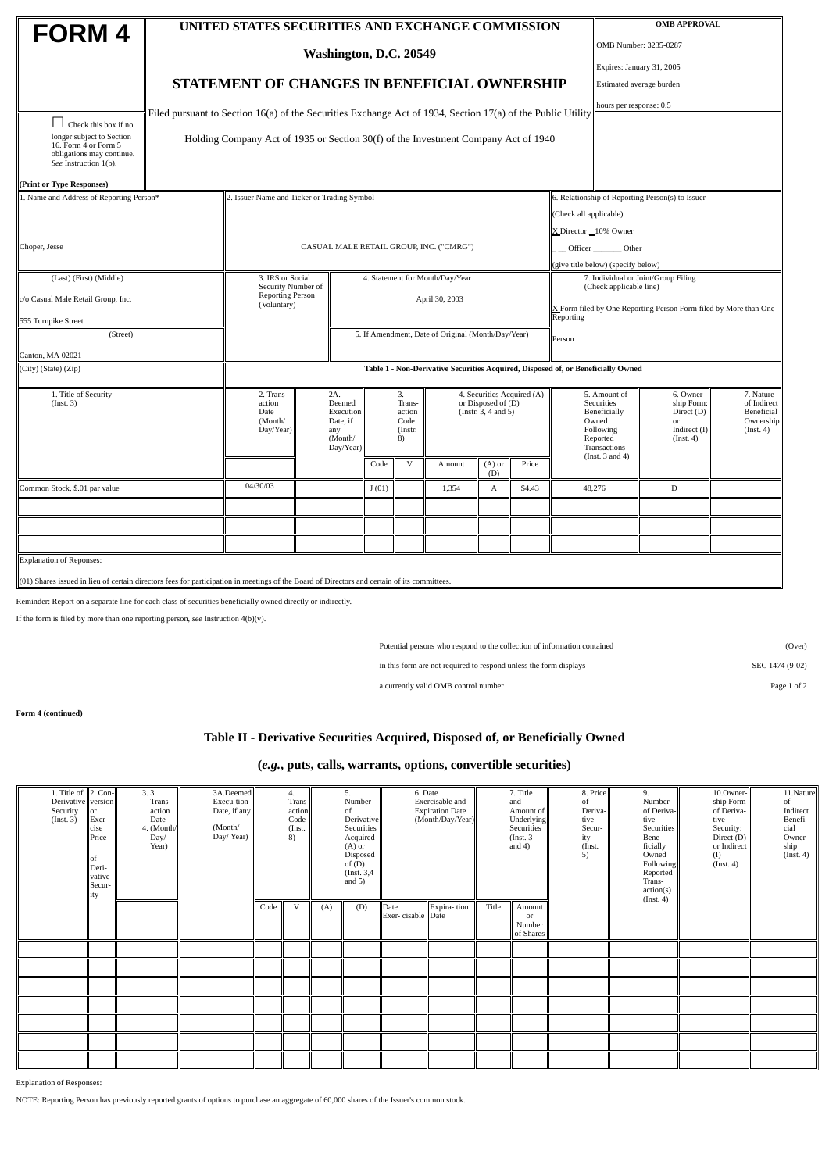|                                                                                                                                             | UNITED STATES SECURITIES AND EXCHANGE COMMISSION                                 |                                                                                                             |                                                                | <b>OMB APPROVAL</b> |                                                                                        |                                                    |                                         |                 |                                                                                                                                                                                        |                                                                           |                                                     |           |           |  |  |
|---------------------------------------------------------------------------------------------------------------------------------------------|----------------------------------------------------------------------------------|-------------------------------------------------------------------------------------------------------------|----------------------------------------------------------------|---------------------|----------------------------------------------------------------------------------------|----------------------------------------------------|-----------------------------------------|-----------------|----------------------------------------------------------------------------------------------------------------------------------------------------------------------------------------|---------------------------------------------------------------------------|-----------------------------------------------------|-----------|-----------|--|--|
| <b>FORM4</b>                                                                                                                                |                                                                                  |                                                                                                             |                                                                |                     |                                                                                        |                                                    | OMB Number: 3235-0287                   |                 |                                                                                                                                                                                        |                                                                           |                                                     |           |           |  |  |
|                                                                                                                                             | Washington, D.C. 20549                                                           |                                                                                                             |                                                                |                     |                                                                                        |                                                    |                                         |                 |                                                                                                                                                                                        |                                                                           | Expires: January 31, 2005                           |           |           |  |  |
|                                                                                                                                             |                                                                                  | STATEMENT OF CHANGES IN BENEFICIAL OWNERSHIP                                                                |                                                                |                     |                                                                                        |                                                    |                                         |                 |                                                                                                                                                                                        |                                                                           | Estimated average burden                            |           |           |  |  |
|                                                                                                                                             |                                                                                  |                                                                                                             |                                                                |                     |                                                                                        |                                                    | hours per response: 0.5                 |                 |                                                                                                                                                                                        |                                                                           |                                                     |           |           |  |  |
|                                                                                                                                             |                                                                                  | Filed pursuant to Section 16(a) of the Securities Exchange Act of 1934, Section 17(a) of the Public Utility |                                                                |                     |                                                                                        |                                                    |                                         |                 |                                                                                                                                                                                        |                                                                           |                                                     |           |           |  |  |
| $\Box$ Check this box if no<br>longer subject to Section<br>16. Form 4 or Form 5<br>obligations may continue.<br>See Instruction 1(b).      |                                                                                  | Holding Company Act of 1935 or Section 30(f) of the Investment Company Act of 1940                          |                                                                |                     |                                                                                        |                                                    |                                         |                 |                                                                                                                                                                                        |                                                                           |                                                     |           |           |  |  |
| (Print or Type Responses)                                                                                                                   |                                                                                  |                                                                                                             |                                                                |                     |                                                                                        |                                                    |                                         |                 |                                                                                                                                                                                        |                                                                           |                                                     |           |           |  |  |
| 1. Name and Address of Reporting Person*                                                                                                    |                                                                                  | 2. Issuer Name and Ticker or Trading Symbol                                                                 |                                                                |                     |                                                                                        |                                                    |                                         |                 |                                                                                                                                                                                        |                                                                           | 6. Relationship of Reporting Person(s) to Issuer    |           |           |  |  |
|                                                                                                                                             |                                                                                  |                                                                                                             |                                                                |                     |                                                                                        |                                                    |                                         |                 |                                                                                                                                                                                        |                                                                           | (Check all applicable)                              |           |           |  |  |
|                                                                                                                                             |                                                                                  |                                                                                                             |                                                                |                     |                                                                                        |                                                    |                                         |                 |                                                                                                                                                                                        |                                                                           | X Director 10% Owner                                |           |           |  |  |
| Choper, Jesse                                                                                                                               |                                                                                  |                                                                                                             |                                                                |                     |                                                                                        |                                                    | CASUAL MALE RETAIL GROUP, INC. ("CMRG") |                 |                                                                                                                                                                                        |                                                                           | Officer<br>Other                                    |           |           |  |  |
|                                                                                                                                             |                                                                                  |                                                                                                             |                                                                |                     |                                                                                        |                                                    |                                         |                 |                                                                                                                                                                                        | (give title below) (specify below)<br>7. Individual or Joint/Group Filing |                                                     |           |           |  |  |
| (Last) (First) (Middle)                                                                                                                     |                                                                                  | 3. IRS or Social<br>4. Statement for Month/Day/Year<br>Security Number of                                   |                                                                |                     |                                                                                        |                                                    |                                         |                 |                                                                                                                                                                                        | (Check applicable line)                                                   |                                                     |           |           |  |  |
| c/o Casual Male Retail Group, Inc.                                                                                                          | <b>Reporting Person</b><br>April 30, 2003<br>(Voluntary)                         |                                                                                                             |                                                                |                     |                                                                                        |                                                    |                                         |                 |                                                                                                                                                                                        | X Form filed by One Reporting Person Form filed by More than One          |                                                     |           |           |  |  |
| 555 Turnpike Street                                                                                                                         | Reporting                                                                        |                                                                                                             |                                                                |                     |                                                                                        |                                                    |                                         |                 |                                                                                                                                                                                        |                                                                           |                                                     |           |           |  |  |
| (Street)                                                                                                                                    |                                                                                  |                                                                                                             |                                                                |                     |                                                                                        | 5. If Amendment, Date of Original (Month/Day/Year) |                                         |                 | Person                                                                                                                                                                                 |                                                                           |                                                     |           |           |  |  |
| Canton, MA 02021                                                                                                                            |                                                                                  |                                                                                                             |                                                                |                     |                                                                                        |                                                    |                                         |                 |                                                                                                                                                                                        |                                                                           |                                                     |           |           |  |  |
| (City) (State) (Zip)                                                                                                                        | Table 1 - Non-Derivative Securities Acquired, Disposed of, or Beneficially Owned |                                                                                                             |                                                                |                     |                                                                                        |                                                    |                                         |                 |                                                                                                                                                                                        |                                                                           |                                                     |           |           |  |  |
| 1. Title of Security                                                                                                                        |                                                                                  | 2. Trans-                                                                                                   |                                                                | 2A.                 |                                                                                        | 3.                                                 |                                         |                 | 4. Securities Acquired (A)                                                                                                                                                             |                                                                           | 5. Amount of                                        | 6. Owner- | 7. Nature |  |  |
| (Inst. 3)                                                                                                                                   | action<br>Date<br>(Month/<br>Day/Year)                                           |                                                                                                             | Deemed<br>Execution<br>Date, if<br>any<br>(Month/<br>Day/Year) |                     | Trans-<br>or Disposed of (D)<br>(Instr. 3, 4 and 5)<br>action<br>Code<br>(Instr.<br>8) |                                                    |                                         |                 | Securities<br>ship Form:<br>Beneficially<br>Direct (D)<br>Owned<br>$\mathop{\rm or}\nolimits$<br>Indirect (I)<br>Following<br>Reported<br>(Inst. 4)<br>Transactions<br>(Inst. 3 and 4) |                                                                           | of Indirect<br>Beneficial<br>Ownership<br>(Inst. 4) |           |           |  |  |
|                                                                                                                                             |                                                                                  |                                                                                                             |                                                                |                     | Code                                                                                   | $\mathbf{V}$                                       | Amount                                  | $(A)$ or<br>(D) | Price                                                                                                                                                                                  |                                                                           |                                                     |           |           |  |  |
| Common Stock, \$.01 par value                                                                                                               | 04/30/03                                                                         |                                                                                                             |                                                                | J(01)               |                                                                                        | 1,354                                              | A                                       | \$4.43          |                                                                                                                                                                                        | 48,276                                                                    | $\mathbf{D}$                                        |           |           |  |  |
|                                                                                                                                             |                                                                                  |                                                                                                             |                                                                |                     |                                                                                        |                                                    |                                         |                 |                                                                                                                                                                                        |                                                                           |                                                     |           |           |  |  |
|                                                                                                                                             |                                                                                  |                                                                                                             |                                                                |                     |                                                                                        |                                                    |                                         |                 |                                                                                                                                                                                        |                                                                           |                                                     |           |           |  |  |
|                                                                                                                                             |                                                                                  |                                                                                                             |                                                                |                     |                                                                                        |                                                    |                                         |                 |                                                                                                                                                                                        |                                                                           |                                                     |           |           |  |  |
| <b>Explanation of Reponses:</b>                                                                                                             |                                                                                  |                                                                                                             |                                                                |                     |                                                                                        |                                                    |                                         |                 |                                                                                                                                                                                        |                                                                           |                                                     |           |           |  |  |
| (01) Shares issued in lieu of certain directors fees for participation in meetings of the Board of Directors and certain of its committees. |                                                                                  |                                                                                                             |                                                                |                     |                                                                                        |                                                    |                                         |                 |                                                                                                                                                                                        |                                                                           |                                                     |           |           |  |  |

Reminder: Report on a separate line for each class of securities beneficially owned directly or indirectly.

If the form is filed by more than one reporting person, *see* Instruction 4(b)(v).

Potential persons who respond to the collection of information contained (Over)

in this form are not required to respond unless the form displays SEC 1474 (9-02)

a currently valid OMB control number Page 1 of 2

**Form 4 (continued)**

## **Table II - Derivative Securities Acquired, Disposed of, or Beneficially Owned**

## **(***e.g.***, puts, calls, warrants, options, convertible securities)**

| 1. Title of 2. Con-<br>Derivative version<br>Security<br>(Inst. 3) | $\overline{\text{lor}}$<br>Exer-<br>cise<br>Price<br>lof<br>Deri-<br>vative<br>Secur-<br>ity | 3.3.<br>Trans-<br>action<br>Date<br>4. (Month/<br>Day/<br>Year) | 3A.Deemed<br>Execu-tion<br>Date, if any<br>(Month/<br>Day/Year) | 4.<br>Trans-<br>action<br>Code<br>(Inst.<br>$\left(8\right)$ |   | 5.<br>Number<br>of<br>Derivative<br>Securities<br>Acquired<br>$(A)$ or<br>Disposed<br>of $(D)$<br>(Inst. 3,4)<br>and $5)$ |     | 6. Date<br>Exercisable and<br><b>Expiration Date</b><br>(Month/Day/Year) |             | 7. Title<br>and<br>Amount of<br>Underlying<br>Securities<br>(Inst. 3)<br>and $4)$ |                                     | 8. Price<br>of<br>Deriva-<br>tive<br>Secur-<br>ity<br>(Inst.<br>5) | 9.<br>Number<br>of Deriva-<br>tive<br><b>Securities</b><br>Bene-<br>ficially<br>Owned<br><b>Following</b><br>Reported<br>Trans-<br>action(s) | 10.Owner-<br>ship Form<br>of Deriva-<br>tive<br>Security:<br>Direct (D)<br>or Indirect<br>(I)<br>$($ Inst. 4 $)$ | 11.Nature<br>of<br>Indirect<br>Benefi-<br>cial<br>Owner-<br>ship<br>(Inst. 4) |
|--------------------------------------------------------------------|----------------------------------------------------------------------------------------------|-----------------------------------------------------------------|-----------------------------------------------------------------|--------------------------------------------------------------|---|---------------------------------------------------------------------------------------------------------------------------|-----|--------------------------------------------------------------------------|-------------|-----------------------------------------------------------------------------------|-------------------------------------|--------------------------------------------------------------------|----------------------------------------------------------------------------------------------------------------------------------------------|------------------------------------------------------------------------------------------------------------------|-------------------------------------------------------------------------------|
|                                                                    |                                                                                              |                                                                 |                                                                 | Code                                                         | V | (A)                                                                                                                       | (D) | Date<br>Exer-cisable Date                                                | Expira-tion | Title                                                                             | Amount<br>or<br>Number<br>of Shares |                                                                    | (Inst. 4)                                                                                                                                    |                                                                                                                  |                                                                               |
|                                                                    |                                                                                              |                                                                 |                                                                 |                                                              |   |                                                                                                                           |     |                                                                          |             |                                                                                   |                                     |                                                                    |                                                                                                                                              |                                                                                                                  |                                                                               |
|                                                                    |                                                                                              |                                                                 |                                                                 |                                                              |   |                                                                                                                           |     |                                                                          |             |                                                                                   |                                     |                                                                    |                                                                                                                                              |                                                                                                                  |                                                                               |
|                                                                    |                                                                                              |                                                                 |                                                                 |                                                              |   |                                                                                                                           |     |                                                                          |             |                                                                                   |                                     |                                                                    |                                                                                                                                              |                                                                                                                  |                                                                               |
|                                                                    |                                                                                              |                                                                 |                                                                 |                                                              |   |                                                                                                                           |     |                                                                          |             |                                                                                   |                                     |                                                                    |                                                                                                                                              |                                                                                                                  |                                                                               |
|                                                                    |                                                                                              |                                                                 |                                                                 |                                                              |   |                                                                                                                           |     |                                                                          |             |                                                                                   |                                     |                                                                    |                                                                                                                                              |                                                                                                                  |                                                                               |
|                                                                    |                                                                                              |                                                                 |                                                                 |                                                              |   |                                                                                                                           |     |                                                                          |             |                                                                                   |                                     |                                                                    |                                                                                                                                              |                                                                                                                  |                                                                               |
|                                                                    |                                                                                              |                                                                 |                                                                 |                                                              |   |                                                                                                                           |     |                                                                          |             |                                                                                   |                                     |                                                                    |                                                                                                                                              |                                                                                                                  |                                                                               |

Explanation of Responses:

NOTE: Reporting Person has previously reported grants of options to purchase an aggregate of 60,000 shares of the Issuer's common stock.